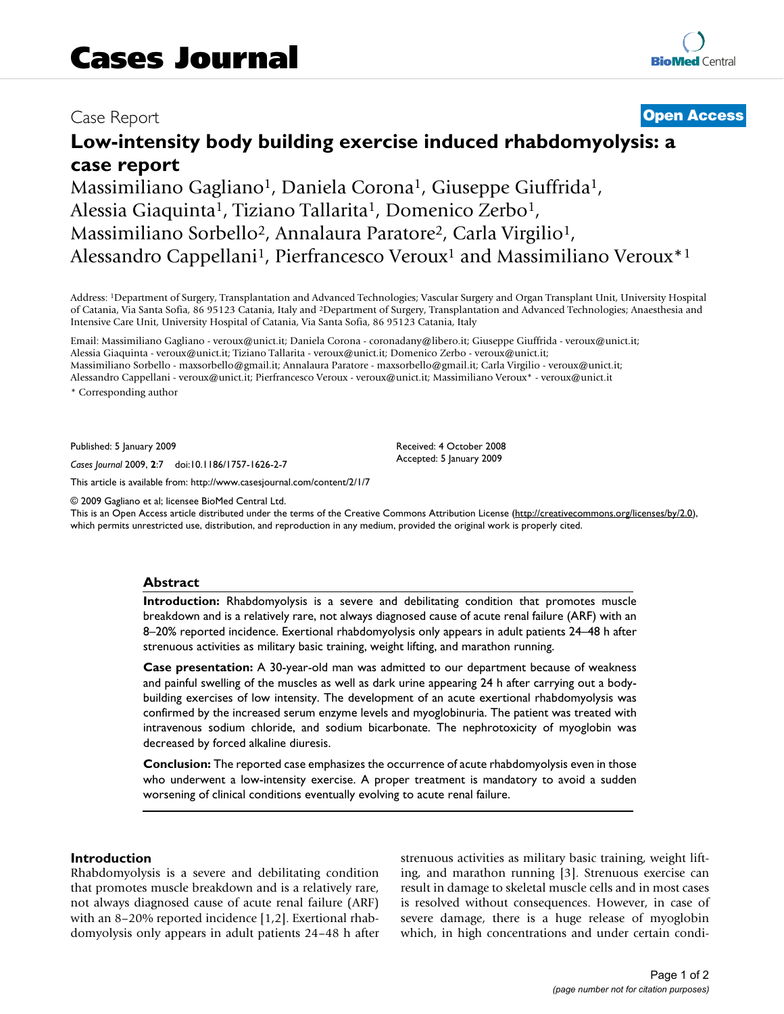## Case Report **[Open Access](http://www.biomedcentral.com/info/about/charter/)**

# **Low-intensity body building exercise induced rhabdomyolysis: a case report**

Massimiliano Gagliano<sup>1</sup>, Daniela Corona<sup>1</sup>, Giuseppe Giuffrida<sup>1</sup>, Alessia Giaquinta<sup>1</sup>, Tiziano Tallarita<sup>1</sup>, Domenico Zerbo<sup>1</sup>, Massimiliano Sorbello<sup>2</sup>, Annalaura Paratore<sup>2</sup>, Carla Virgilio<sup>1</sup>, Alessandro Cappellani<sup>1</sup>, Pierfrancesco Veroux<sup>1</sup> and Massimiliano Veroux<sup>\*1</sup>

Address: 1Department of Surgery, Transplantation and Advanced Technologies; Vascular Surgery and Organ Transplant Unit, University Hospital of Catania, Via Santa Sofia, 86 95123 Catania, Italy and 2Department of Surgery, Transplantation and Advanced Technologies; Anaesthesia and Intensive Care Unit, University Hospital of Catania, Via Santa Sofia, 86 95123 Catania, Italy

Email: Massimiliano Gagliano - veroux@unict.it; Daniela Corona - coronadany@libero.it; Giuseppe Giuffrida - veroux@unict.it; Alessia Giaquinta - veroux@unict.it; Tiziano Tallarita - veroux@unict.it; Domenico Zerbo - veroux@unict.it; Massimiliano Sorbello - maxsorbello@gmail.it; Annalaura Paratore - maxsorbello@gmail.it; Carla Virgilio - veroux@unict.it; Alessandro Cappellani - veroux@unict.it; Pierfrancesco Veroux - veroux@unict.it; Massimiliano Veroux\* - veroux@unict.it \* Corresponding author

Published: 5 January 2009

*Cases Journal* 2009, **2**:7 doi:10.1186/1757-1626-2-7

[This article is available from: http://www.casesjournal.com/content/2/1/7](http://www.casesjournal.com/content/2/1/7)

© 2009 Gagliano et al; licensee BioMed Central Ltd.

This is an Open Access article distributed under the terms of the Creative Commons Attribution License [\(http://creativecommons.org/licenses/by/2.0\)](http://creativecommons.org/licenses/by/2.0), which permits unrestricted use, distribution, and reproduction in any medium, provided the original work is properly cited.

Received: 4 October 2008 Accepted: 5 January 2009

#### **Abstract**

**Introduction:** Rhabdomyolysis is a severe and debilitating condition that promotes muscle breakdown and is a relatively rare, not always diagnosed cause of acute renal failure (ARF) with an 8–20% reported incidence. Exertional rhabdomyolysis only appears in adult patients 24–48 h after strenuous activities as military basic training, weight lifting, and marathon running.

**Case presentation:** A 30-year-old man was admitted to our department because of weakness and painful swelling of the muscles as well as dark urine appearing 24 h after carrying out a bodybuilding exercises of low intensity. The development of an acute exertional rhabdomyolysis was confirmed by the increased serum enzyme levels and myoglobinuria. The patient was treated with intravenous sodium chloride, and sodium bicarbonate. The nephrotoxicity of myoglobin was decreased by forced alkaline diuresis.

**Conclusion:** The reported case emphasizes the occurrence of acute rhabdomyolysis even in those who underwent a low-intensity exercise. A proper treatment is mandatory to avoid a sudden worsening of clinical conditions eventually evolving to acute renal failure.

#### **Introduction**

Rhabdomyolysis is a severe and debilitating condition that promotes muscle breakdown and is a relatively rare, not always diagnosed cause of acute renal failure (ARF) with an 8–20% reported incidence [1,2]. Exertional rhabdomyolysis only appears in adult patients 24–48 h after strenuous activities as military basic training, weight lifting, and marathon running [3]. Strenuous exercise can result in damage to skeletal muscle cells and in most cases is resolved without consequences. However, in case of severe damage, there is a huge release of myoglobin which, in high concentrations and under certain condi-